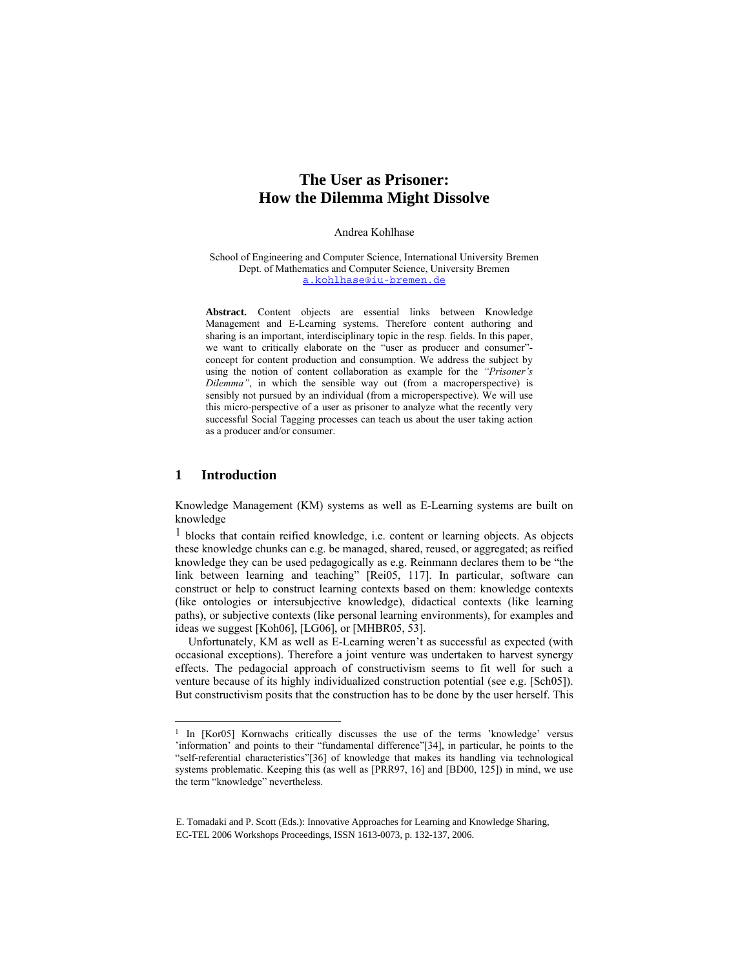# **The User as Prisoner: How the Dilemma Might Dissolve**

Andrea Kohlhase

School of Engineering and Computer Science, International University Bremen Dept. of Mathematics and Computer Science, University Bremen a.kohlhase@iu-bremen.de

**Abstract.** Content objects are essential links between Knowledge Management and E-Learning systems. Therefore content authoring and sharing is an important, interdisciplinary topic in the resp. fields. In this paper, we want to critically elaborate on the "user as producer and consumer" concept for content production and consumption. We address the subject by using the notion of content collaboration as example for the *"Prisoner's Dilemma"*, in which the sensible way out (from a macroperspective) is sensibly not pursued by an individual (from a microperspective). We will use this micro-perspective of a user as prisoner to analyze what the recently very successful Social Tagging processes can teach us about the user taking action as a producer and/or consumer.

## **1 Introduction**

 $\overline{a}$ 

Knowledge Management (KM) systems as well as E-Learning systems are built on knowledge

1 blocks that contain reified knowledge, i.e. content or learning objects. As objects these knowledge chunks can e.g. be managed, shared, reused, or aggregated; as reified knowledge they can be used pedagogically as e.g. Reinmann declares them to be "the link between learning and teaching" [Rei05, 117]. In particular, software can construct or help to construct learning contexts based on them: knowledge contexts (like ontologies or intersubjective knowledge), didactical contexts (like learning paths), or subjective contexts (like personal learning environments), for examples and ideas we suggest [Koh06], [LG06], or [MHBR05, 53].

Unfortunately, KM as well as E-Learning weren't as successful as expected (with occasional exceptions). Therefore a joint venture was undertaken to harvest synergy effects. The pedagocial approach of constructivism seems to fit well for such a venture because of its highly individualized construction potential (see e.g. [Sch05]). But constructivism posits that the construction has to be done by the user herself. This

<sup>&</sup>lt;sup>1</sup> In [Kor05] Kornwachs critically discusses the use of the terms 'knowledge' versus 'information' and points to their "fundamental difference"[34], in particular, he points to the "self-referential characteristics"[36] of knowledge that makes its handling via technological systems problematic. Keeping this (as well as [PRR97, 16] and [BD00, 125]) in mind, we use the term "knowledge" nevertheless.

E. Tomadaki and P. Scott (Eds.): Innovative Approaches for Learning and Knowledge Sharing, EC-TEL 2006 Workshops Proceedings, ISSN 1613-0073, p. 132-137, 2006.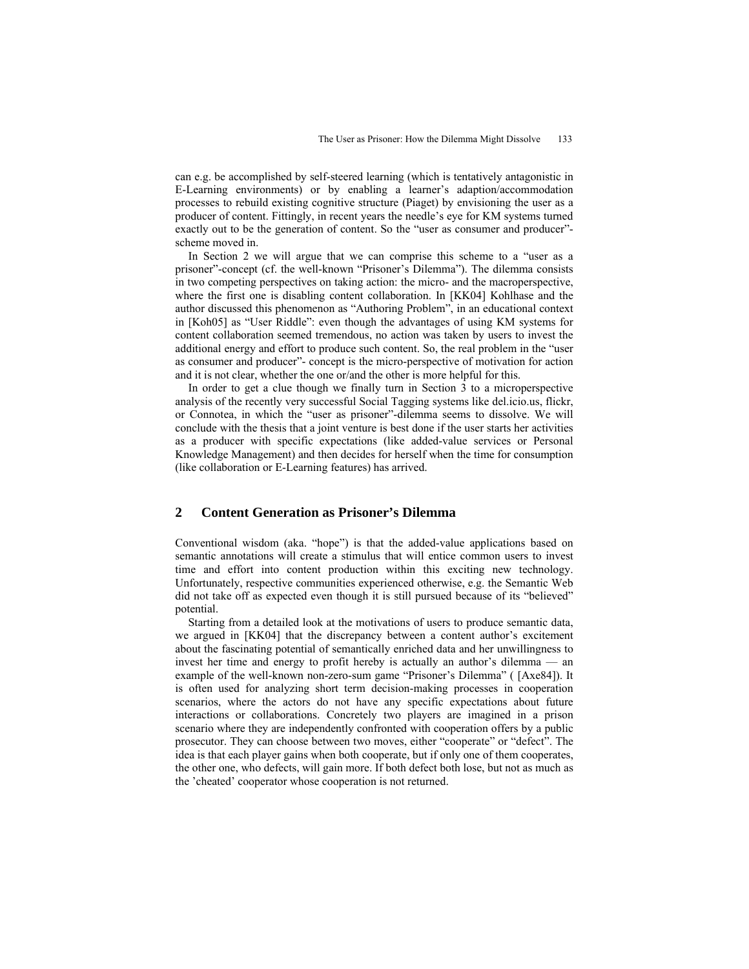can e.g. be accomplished by self-steered learning (which is tentatively antagonistic in E-Learning environments) or by enabling a learner's adaption/accommodation processes to rebuild existing cognitive structure (Piaget) by envisioning the user as a producer of content. Fittingly, in recent years the needle's eye for KM systems turned exactly out to be the generation of content. So the "user as consumer and producer" scheme moved in.

In Section 2 we will argue that we can comprise this scheme to a "user as a prisoner"-concept (cf. the well-known "Prisoner's Dilemma"). The dilemma consists in two competing perspectives on taking action: the micro- and the macroperspective, where the first one is disabling content collaboration. In [KK04] Kohlhase and the author discussed this phenomenon as "Authoring Problem", in an educational context in [Koh05] as "User Riddle": even though the advantages of using KM systems for content collaboration seemed tremendous, no action was taken by users to invest the additional energy and effort to produce such content. So, the real problem in the "user as consumer and producer"- concept is the micro-perspective of motivation for action and it is not clear, whether the one or/and the other is more helpful for this.

In order to get a clue though we finally turn in Section 3 to a microperspective analysis of the recently very successful Social Tagging systems like del.icio.us, flickr, or Connotea, in which the "user as prisoner"-dilemma seems to dissolve. We will conclude with the thesis that a joint venture is best done if the user starts her activities as a producer with specific expectations (like added-value services or Personal Knowledge Management) and then decides for herself when the time for consumption (like collaboration or E-Learning features) has arrived.

## **2 Content Generation as Prisoner's Dilemma**

Conventional wisdom (aka. "hope") is that the added-value applications based on semantic annotations will create a stimulus that will entice common users to invest time and effort into content production within this exciting new technology. Unfortunately, respective communities experienced otherwise, e.g. the Semantic Web did not take off as expected even though it is still pursued because of its "believed" potential.

Starting from a detailed look at the motivations of users to produce semantic data, we argued in [KK04] that the discrepancy between a content author's excitement about the fascinating potential of semantically enriched data and her unwillingness to invest her time and energy to profit hereby is actually an author's dilemma — an example of the well-known non-zero-sum game "Prisoner's Dilemma" ( [Axe84]). It is often used for analyzing short term decision-making processes in cooperation scenarios, where the actors do not have any specific expectations about future interactions or collaborations. Concretely two players are imagined in a prison scenario where they are independently confronted with cooperation offers by a public prosecutor. They can choose between two moves, either "cooperate" or "defect". The idea is that each player gains when both cooperate, but if only one of them cooperates, the other one, who defects, will gain more. If both defect both lose, but not as much as the 'cheated' cooperator whose cooperation is not returned.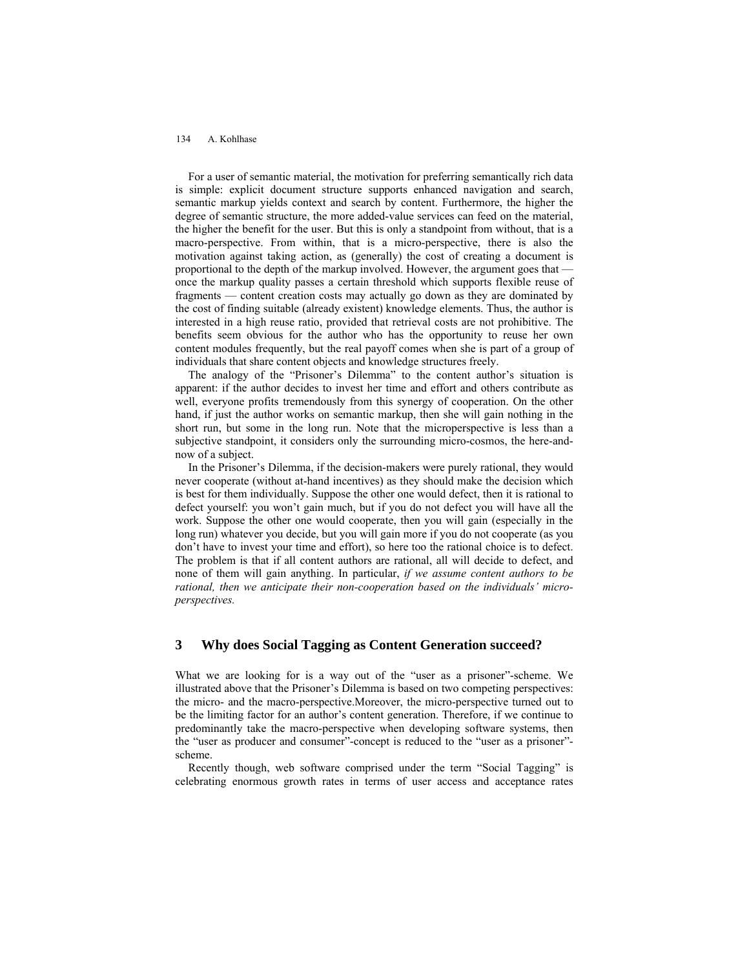#### 134 A. Kohlhase

For a user of semantic material, the motivation for preferring semantically rich data is simple: explicit document structure supports enhanced navigation and search, semantic markup yields context and search by content. Furthermore, the higher the degree of semantic structure, the more added-value services can feed on the material, the higher the benefit for the user. But this is only a standpoint from without, that is a macro-perspective. From within, that is a micro-perspective, there is also the motivation against taking action, as (generally) the cost of creating a document is proportional to the depth of the markup involved. However, the argument goes that once the markup quality passes a certain threshold which supports flexible reuse of fragments — content creation costs may actually go down as they are dominated by the cost of finding suitable (already existent) knowledge elements. Thus, the author is interested in a high reuse ratio, provided that retrieval costs are not prohibitive. The benefits seem obvious for the author who has the opportunity to reuse her own content modules frequently, but the real payoff comes when she is part of a group of individuals that share content objects and knowledge structures freely.

The analogy of the "Prisoner's Dilemma" to the content author's situation is apparent: if the author decides to invest her time and effort and others contribute as well, everyone profits tremendously from this synergy of cooperation. On the other hand, if just the author works on semantic markup, then she will gain nothing in the short run, but some in the long run. Note that the microperspective is less than a subjective standpoint, it considers only the surrounding micro-cosmos, the here-andnow of a subject.

In the Prisoner's Dilemma, if the decision-makers were purely rational, they would never cooperate (without at-hand incentives) as they should make the decision which is best for them individually. Suppose the other one would defect, then it is rational to defect yourself: you won't gain much, but if you do not defect you will have all the work. Suppose the other one would cooperate, then you will gain (especially in the long run) whatever you decide, but you will gain more if you do not cooperate (as you don't have to invest your time and effort), so here too the rational choice is to defect. The problem is that if all content authors are rational, all will decide to defect, and none of them will gain anything. In particular, *if we assume content authors to be rational, then we anticipate their non-cooperation based on the individuals' microperspectives.* 

#### **3 Why does Social Tagging as Content Generation succeed?**

What we are looking for is a way out of the "user as a prisoner"-scheme. We illustrated above that the Prisoner's Dilemma is based on two competing perspectives: the micro- and the macro-perspective.Moreover, the micro-perspective turned out to be the limiting factor for an author's content generation. Therefore, if we continue to predominantly take the macro-perspective when developing software systems, then the "user as producer and consumer"-concept is reduced to the "user as a prisoner" scheme.

Recently though, web software comprised under the term "Social Tagging" is celebrating enormous growth rates in terms of user access and acceptance rates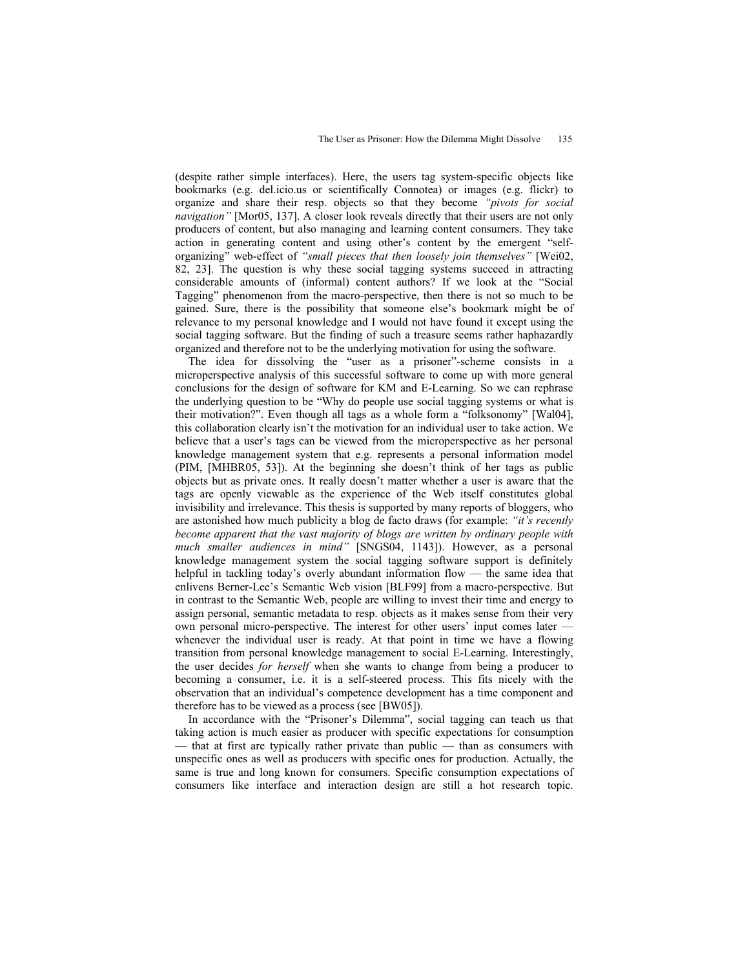(despite rather simple interfaces). Here, the users tag system-specific objects like bookmarks (e.g. del.icio.us or scientifically Connotea) or images (e.g. flickr) to organize and share their resp. objects so that they become *"pivots for social navigation"* [Mor05, 137]. A closer look reveals directly that their users are not only producers of content, but also managing and learning content consumers. They take action in generating content and using other's content by the emergent "selforganizing" web-effect of *"small pieces that then loosely join themselves"* [Wei02, 82, 23]. The question is why these social tagging systems succeed in attracting considerable amounts of (informal) content authors? If we look at the "Social Tagging" phenomenon from the macro-perspective, then there is not so much to be gained. Sure, there is the possibility that someone else's bookmark might be of relevance to my personal knowledge and I would not have found it except using the social tagging software. But the finding of such a treasure seems rather haphazardly organized and therefore not to be the underlying motivation for using the software.

The idea for dissolving the "user as a prisoner"-scheme consists in a microperspective analysis of this successful software to come up with more general conclusions for the design of software for KM and E-Learning. So we can rephrase the underlying question to be "Why do people use social tagging systems or what is their motivation?". Even though all tags as a whole form a "folksonomy" [Wal04], this collaboration clearly isn't the motivation for an individual user to take action. We believe that a user's tags can be viewed from the microperspective as her personal knowledge management system that e.g. represents a personal information model (PIM, [MHBR05, 53]). At the beginning she doesn't think of her tags as public objects but as private ones. It really doesn't matter whether a user is aware that the tags are openly viewable as the experience of the Web itself constitutes global invisibility and irrelevance. This thesis is supported by many reports of bloggers, who are astonished how much publicity a blog de facto draws (for example: *"it's recently become apparent that the vast majority of blogs are written by ordinary people with much smaller audiences in mind"* [SNGS04, 1143]). However, as a personal knowledge management system the social tagging software support is definitely helpful in tackling today's overly abundant information flow — the same idea that enlivens Berner-Lee's Semantic Web vision [BLF99] from a macro-perspective. But in contrast to the Semantic Web, people are willing to invest their time and energy to assign personal, semantic metadata to resp. objects as it makes sense from their very own personal micro-perspective. The interest for other users' input comes later whenever the individual user is ready. At that point in time we have a flowing transition from personal knowledge management to social E-Learning. Interestingly, the user decides *for herself* when she wants to change from being a producer to becoming a consumer, i.e. it is a self-steered process. This fits nicely with the observation that an individual's competence development has a time component and therefore has to be viewed as a process (see [BW05]).

In accordance with the "Prisoner's Dilemma", social tagging can teach us that taking action is much easier as producer with specific expectations for consumption — that at first are typically rather private than public — than as consumers with unspecific ones as well as producers with specific ones for production. Actually, the same is true and long known for consumers. Specific consumption expectations of consumers like interface and interaction design are still a hot research topic.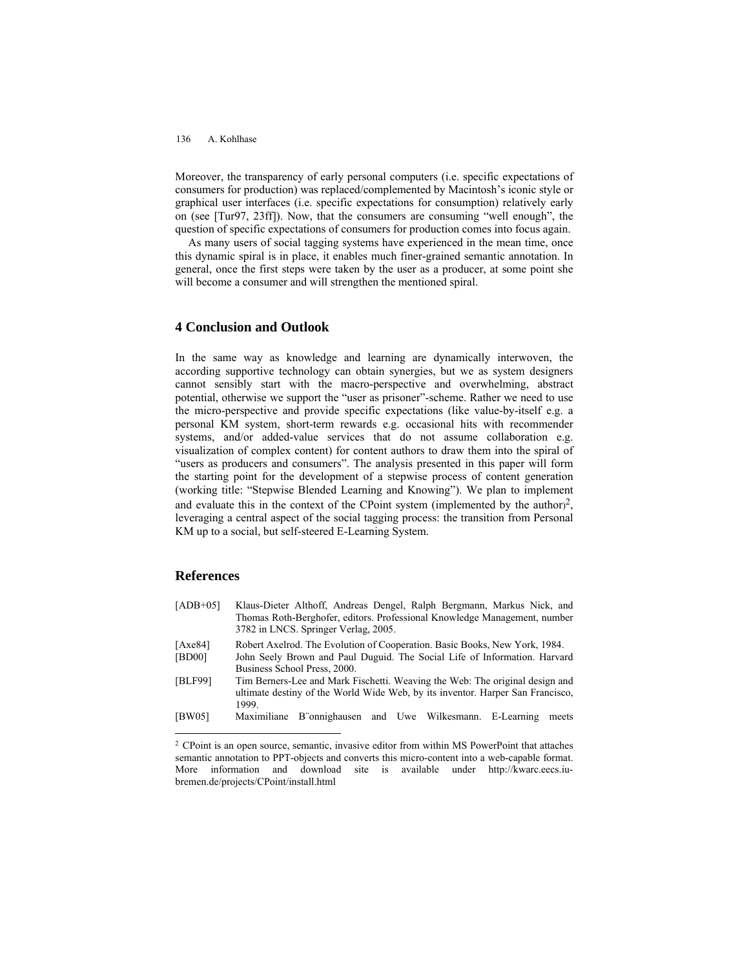#### 136 A. Kohlhase

Moreover, the transparency of early personal computers (i.e. specific expectations of consumers for production) was replaced/complemented by Macintosh's iconic style or graphical user interfaces (i.e. specific expectations for consumption) relatively early on (see [Tur97, 23ff]). Now, that the consumers are consuming "well enough", the question of specific expectations of consumers for production comes into focus again.

As many users of social tagging systems have experienced in the mean time, once this dynamic spiral is in place, it enables much finer-grained semantic annotation. In general, once the first steps were taken by the user as a producer, at some point she will become a consumer and will strengthen the mentioned spiral.

## **4 Conclusion and Outlook**

In the same way as knowledge and learning are dynamically interwoven, the according supportive technology can obtain synergies, but we as system designers cannot sensibly start with the macro-perspective and overwhelming, abstract potential, otherwise we support the "user as prisoner"-scheme. Rather we need to use the micro-perspective and provide specific expectations (like value-by-itself e.g. a personal KM system, short-term rewards e.g. occasional hits with recommender systems, and/or added-value services that do not assume collaboration e.g. visualization of complex content) for content authors to draw them into the spiral of "users as producers and consumers". The analysis presented in this paper will form the starting point for the development of a stepwise process of content generation (working title: "Stepwise Blended Learning and Knowing"). We plan to implement and evaluate this in the context of the CPoint system (implemented by the author) 2, leveraging a central aspect of the social tagging process: the transition from Personal KM up to a social, but self-steered E-Learning System.

## **References**

 $\overline{a}$ 

- [ADB+05] Klaus-Dieter Althoff, Andreas Dengel, Ralph Bergmann, Markus Nick, and Thomas Roth-Berghofer, editors. Professional Knowledge Management, number 3782 in LNCS. Springer Verlag, 2005.
- [Axe84] Robert Axelrod. The Evolution of Cooperation. Basic Books, New York, 1984.
- [BD00] John Seely Brown and Paul Duguid. The Social Life of Information. Harvard Business School Press, 2000.
- [BLF99] Tim Berners-Lee and Mark Fischetti. Weaving the Web: The original design and ultimate destiny of the World Wide Web, by its inventor. Harper San Francisco, 1999.

<sup>[</sup>BW05] Maximiliane B¨onnighausen and Uwe Wilkesmann. E-Learning meets

<sup>2</sup> CPoint is an open source, semantic, invasive editor from within MS PowerPoint that attaches semantic annotation to PPT-objects and converts this micro-content into a web-capable format. More information and download site is available under http://kwarc.eecs.iubremen.de/projects/CPoint/install.html